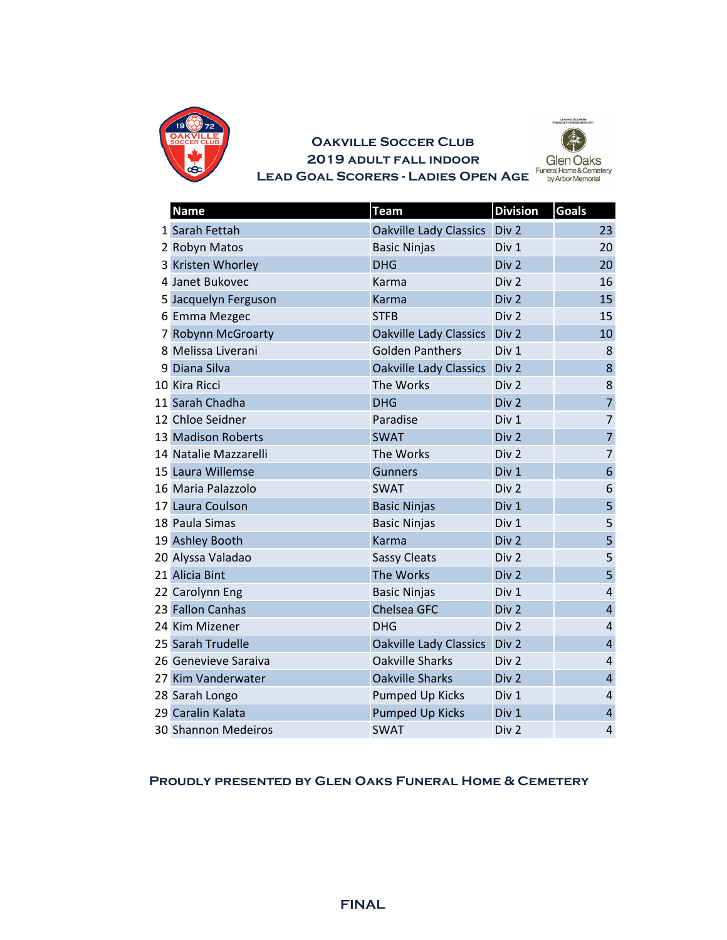

## **2019 adult fall indoor LEAD GOAL SCORERS - LADIES OPEN AGE** Funeral Home & Cemetery **LEAD GOAL SCORERS - LADIES OPEN AGE Oakville Soccer Club**



|    | <b>Name</b>                | <b>Team</b>                   | <b>Division</b>  | <b>Goals</b>            |
|----|----------------------------|-------------------------------|------------------|-------------------------|
|    | 1 Sarah Fettah             | <b>Oakville Lady Classics</b> | Div <sub>2</sub> | 23                      |
|    | 2 Robyn Matos              | <b>Basic Ninjas</b>           | Div 1            | 20                      |
| 3  | Kristen Whorley            | <b>DHG</b>                    | Div <sub>2</sub> | 20                      |
|    | 4 Janet Bukovec            | Karma                         | Div <sub>2</sub> | 16                      |
|    | 5 Jacquelyn Ferguson       | Karma                         | Div <sub>2</sub> | 15                      |
|    | 6 Emma Mezgec              | <b>STFB</b>                   | Div <sub>2</sub> | 15                      |
| 7  | Robynn McGroarty           | <b>Oakville Lady Classics</b> | Div <sub>2</sub> | 10                      |
|    | 8 Melissa Liverani         | <b>Golden Panthers</b>        | Div 1            | 8                       |
| q  | Diana Silva                | <b>Oakville Lady Classics</b> | Div <sub>2</sub> | 8                       |
|    | 10 Kira Ricci              | The Works                     | Div <sub>2</sub> | 8                       |
|    | 11 Sarah Chadha            | <b>DHG</b>                    | Div <sub>2</sub> | $\overline{7}$          |
|    | 12 Chloe Seidner           | Paradise                      | Div 1            | $\overline{7}$          |
|    | 13 Madison Roberts         | <b>SWAT</b>                   | Div <sub>2</sub> | $\overline{7}$          |
|    | 14 Natalie Mazzarelli      | The Works                     | Div <sub>2</sub> | $\overline{7}$          |
|    | 15 Laura Willemse          | <b>Gunners</b>                | Div 1            | 6                       |
|    | 16 Maria Palazzolo         | <b>SWAT</b>                   | Div <sub>2</sub> | 6                       |
| 17 | Laura Coulson              | <b>Basic Ninjas</b>           | Div 1            | 5                       |
|    | 18 Paula Simas             | <b>Basic Ninjas</b>           | Div 1            | 5                       |
|    | 19 Ashley Booth            | <b>Karma</b>                  | Div <sub>2</sub> | 5                       |
|    | 20 Alyssa Valadao          | <b>Sassy Cleats</b>           | Div <sub>2</sub> | 5                       |
|    | 21 Alicia Bint             | The Works                     | Div 2            | 5                       |
|    | 22 Carolynn Eng            | <b>Basic Ninjas</b>           | Div 1            | 4                       |
|    | 23 Fallon Canhas           | Chelsea GFC                   | Div <sub>2</sub> | $\overline{4}$          |
|    | 24 Kim Mizener             | <b>DHG</b>                    | Div <sub>2</sub> | $\overline{4}$          |
|    | 25 Sarah Trudelle          | <b>Oakville Lady Classics</b> | Div <sub>2</sub> | $\overline{\mathbf{r}}$ |
|    | 26 Genevieve Saraiva       | <b>Oakville Sharks</b>        | Div <sub>2</sub> | $\overline{4}$          |
|    | 27 Kim Vanderwater         | <b>Oakville Sharks</b>        | Div <sub>2</sub> | $\overline{4}$          |
|    | 28 Sarah Longo             | <b>Pumped Up Kicks</b>        | Div 1            | $\overline{\mathbf{r}}$ |
|    | 29 Caralin Kalata          | <b>Pumped Up Kicks</b>        | Div 1            | $\overline{4}$          |
|    | <b>30 Shannon Medeiros</b> | <b>SWAT</b>                   | Div <sub>2</sub> | $\overline{4}$          |

## **Proudly presented by Glen Oaks Funeral Home & Cemetery**